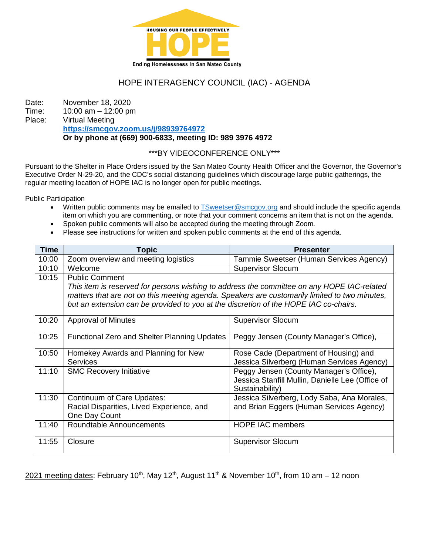

# HOPE INTERAGENCY COUNCIL (IAC) - AGENDA

Date: November 18, 2020 Time: 10:00 am – 12:00 pm Place: Virtual Meeting **<https://smcgov.zoom.us/j/98939764972> Or by phone at (669) 900-6833, meeting ID: 989 3976 4972**

### \*\*\*BY VIDEOCONFERENCE ONLY\*\*\*

Pursuant to the Shelter in Place Orders issued by the San Mateo County Health Officer and the Governor, the Governor's Executive Order N-29-20, and the CDC's social distancing guidelines which discourage large public gatherings, the regular meeting location of HOPE IAC is no longer open for public meetings.

Public Participation

- Written public comments may be emailed t[o TSweetser@smcgov.org](mailto:TSweetser@smcgov.org) and should include the specific agenda item on which you are commenting, or note that your comment concerns an item that is not on the agenda.
- Spoken public comments will also be accepted during the meeting through Zoom.
- Please see instructions for written and spoken public comments at the end of this agenda.

| <b>Time</b> | Topic                                                                                                                                                                                                                                                                                                        | <b>Presenter</b>                                                                                               |
|-------------|--------------------------------------------------------------------------------------------------------------------------------------------------------------------------------------------------------------------------------------------------------------------------------------------------------------|----------------------------------------------------------------------------------------------------------------|
| 10:00       | Zoom overview and meeting logistics                                                                                                                                                                                                                                                                          | Tammie Sweetser (Human Services Agency)                                                                        |
| 10:10       | Welcome                                                                                                                                                                                                                                                                                                      | <b>Supervisor Slocum</b>                                                                                       |
| 10:15       | <b>Public Comment</b><br>This item is reserved for persons wishing to address the committee on any HOPE IAC-related<br>matters that are not on this meeting agenda. Speakers are customarily limited to two minutes,<br>but an extension can be provided to you at the discretion of the HOPE IAC co-chairs. |                                                                                                                |
| 10:20       | <b>Approval of Minutes</b>                                                                                                                                                                                                                                                                                   | <b>Supervisor Slocum</b>                                                                                       |
| 10:25       | Functional Zero and Shelter Planning Updates                                                                                                                                                                                                                                                                 | Peggy Jensen (County Manager's Office),                                                                        |
| 10:50       | Homekey Awards and Planning for New<br><b>Services</b>                                                                                                                                                                                                                                                       | Rose Cade (Department of Housing) and<br>Jessica Silverberg (Human Services Agency)                            |
| 11:10       | <b>SMC Recovery Initiative</b>                                                                                                                                                                                                                                                                               | Peggy Jensen (County Manager's Office),<br>Jessica Stanfill Mullin, Danielle Lee (Office of<br>Sustainability) |
| 11:30       | Continuum of Care Updates:<br>Racial Disparities, Lived Experience, and<br>One Day Count                                                                                                                                                                                                                     | Jessica Silverberg, Lody Saba, Ana Morales,<br>and Brian Eggers (Human Services Agency)                        |
| 11:40       | Roundtable Announcements                                                                                                                                                                                                                                                                                     | <b>HOPE IAC members</b>                                                                                        |
| 11:55       | Closure                                                                                                                                                                                                                                                                                                      | <b>Supervisor Slocum</b>                                                                                       |

2021 meeting dates: February 10<sup>th</sup>, May 12<sup>th</sup>, August 11<sup>th</sup> & November 10<sup>th</sup>, from 10 am – 12 noon